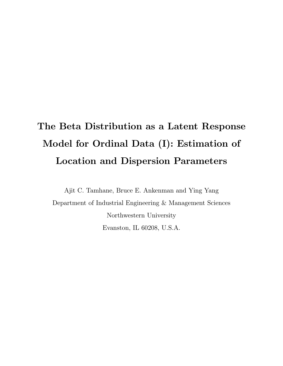# The Beta Distribution as a Latent Response Model for Ordinal Data (I): Estimation of Location and Dispersion Parameters

Ajit C. Tamhane, Bruce E. Ankenman and Ying Yang Department of Industrial Engineering & Management Sciences Northwestern University Evanston, IL 60208, U.S.A.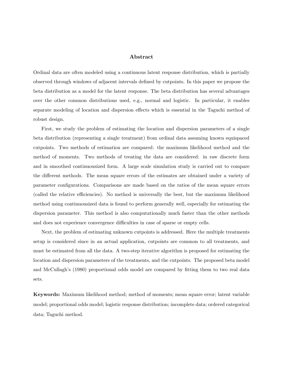## Abstract

Ordinal data are often modeled using a continuous latent response distribution, which is partially observed through windows of adjacent intervals defined by cutpoints. In this paper we propose the beta distribution as a model for the latent response. The beta distribution has several advantages over the other common distributions used, e.g., normal and logistic. In particular, it enables separate modeling of location and dispersion effects which is essential in the Taguchi method of robust design.

First, we study the problem of estimating the location and dispersion parameters of a single beta distribution (representing a single treatment) from ordinal data assuming known equispaced cutpoints. Two methods of estimation are compared: the maximum likelihood method and the method of moments. Two methods of treating the data are considered: in raw discrete form and in smoothed continuousized form. A large scale simulation study is carried out to compare the different methods. The mean square errors of the estimates are obtained under a variety of parameter configurations. Comparisons are made based on the ratios of the mean square errors (called the relative efficiencies). No method is universally the best, but the maximum likelihood method using continuousized data is found to perform generally well, especially for estimating the dispersion parameter. This method is also computationally much faster than the other methods and does not experience convergence difficulties in case of sparse or empty cells.

Next, the problem of estimating unknown cutpoints is addressed. Here the multiple treatments setup is considered since in an actual application, cutpoints are common to all treatments, and must be estimated from all the data. A two-step iterative algorithm is proposed for estimating the location and dispersion parameters of the treatments, and the cutpoints. The proposed beta model and McCullagh's (1980) proportional odds model are compared by fitting them to two real data sets.

Keywords: Maximum likelihood method; method of moments; mean square error; latent variable model; proportional odds model; logistic response distribution; incomplete data; ordered categorical data; Taguchi method.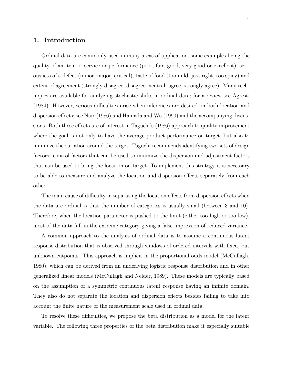# 1. Introduction

Ordinal data are commonly used in many areas of application, some examples being the quality of an item or service or performance (poor, fair, good, very good or excellent), seriousness of a defect (minor, major, critical), taste of food (too mild, just right, too spicy) and extent of agreement (strongly disagree, disagree, neutral, agree, strongly agree). Many techniques are available for analyzing stochastic shifts in ordinal data; for a review see Agresti (1984). However, serious difficulties arise when inferences are desired on both location and dispersion effects; see Nair (1986) and Hamada and Wu (1990) and the accompanying discussions. Both these effects are of interest in Taguchi's (1986) approach to quality improvement where the goal is not only to have the average product performance on target, but also to minimize the variation around the target. Taguchi recommends identifying two sets of design factors: control factors that can be used to minimize the dispersion and adjustment factors that can be used to bring the location on target. To implement this strategy it is necessary to be able to measure and analyze the location and dispersion effects separately from each other.

The main cause of difficulty in separating the location effects from dispersion effects when the data are ordinal is that the number of categories is usually small (between 3 and 10). Therefore, when the location parameter is pushed to the limit (either too high or too low), most of the data fall in the extreme category giving a false impression of reduced variance.

A common approach to the analysis of ordinal data is to assume a continuous latent response distribution that is observed through windows of ordered intervals with fixed, but unknown cutpoints. This approach is implicit in the proportional odds model (McCullagh, 1980), which can be derived from an underlying logistic response distribution and in other generalized linear models (McCullagh and Nelder, 1989). These models are typically based on the assumption of a symmetric continuous latent response having an infinite domain. They also do not separate the location and dispersion effects besides failing to take into account the finite nature of the measurement scale used in ordinal data.

To resolve these difficulties, we propose the beta distribution as a model for the latent variable. The following three properties of the beta distribution make it especially suitable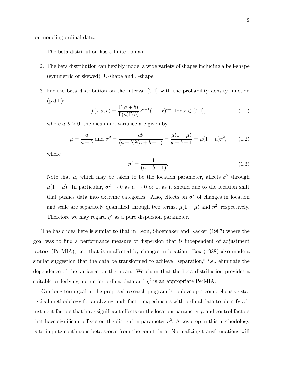for modeling ordinal data:

- 1. The beta distribution has a finite domain.
- 2. The beta distribution can flexibly model a wide variety of shapes including a bell-shape (symmetric or skewed), U-shape and J-shape.
- 3. For the beta distribution on the interval [0; 1] with the probability density function (p.d.f.):

$$
f(x|a,b) = \frac{\Gamma(a+b)}{\Gamma(a)\Gamma(b)} x^{a-1} (1-x)^{b-1} \text{ for } x \in [0,1],
$$
 (1.1)

where  $a, b > 0$ , the mean and variance are given by

$$
\mu = \frac{a}{a+b} \text{ and } \sigma^2 = \frac{ab}{(a+b)^2(a+b+1)} = \frac{\mu(1-\mu)}{a+b+1} = \mu(1-\mu)\eta^2, \qquad (1.2)
$$

where

$$
\eta^2 = \frac{1}{(a+b+1)}.\tag{1.3}
$$

Note that  $\mu$ , which may be taken to be the location parameter, affects  $\sigma^2$  through  $\mu(1 - \mu)$ . In particular,  $\sigma^2 \to 0$  as  $\mu \to 0$  or 1, as it should due to the location shift that pushes data into extreme categories. Also, effects on  $\sigma^2$  of changes in location and scale are separately quantified through two terms,  $\mu(1 - \mu)$  and  $\eta^2$ , respectively. Therefore we may regard  $\eta^2$  as a pure dispersion parameter.

The basic idea here is similar to that in Leon, Shoemaker and Kacker (1987) where the goal was to find a performance measure of dispersion that is independent of adjustment factors (PerMIA), i.e., that is unaffected by changes in location. Box (1988) also made a similar suggestion that the data be transformed to achieve "separation," i.e., eliminate the dependence of the variance on the mean. We claim that the beta distribution provides a suitable underlying metric for ordinal data and  $\eta^2$  is an appropriate PerMIA.

Our long term goal in the proposed research program is to develop a comprehensive statistical methodology for analyzing multifactor experiments with ordinal data to identify adjustment factors that have significant effects on the location parameter  $\mu$  and control factors that have significant effects on the dispersion parameter  $\eta^2$ . A key step in this methodology is to impute continuous beta scores from the count data. Normalizing transformations will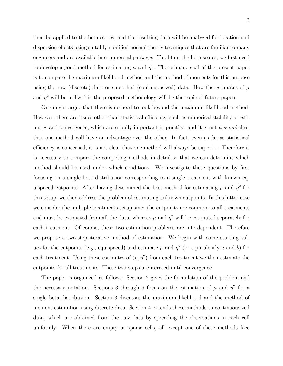then be applied to the beta scores, and the resulting data will be analyzed for location and dispersion effects using suitably modified normal theory techniques that are familiar to many engineers and are available in commercial packages. To obtain the beta scores, we first need to develop a good method for estimating  $\mu$  and  $\eta^2$ . The primary goal of the present paper is to compare the maximum likelihood method and the method of moments for this purpose using the raw (discrete) data or smoothed (continuousized) data. How the estimates of  $\mu$ and  $\eta^2$  will be utilized in the proposed methodology will be the topic of future papers.

One might argue that there is no need to look beyond the maximum likelihood method. However, there are issues other than statistical efficiency, such as numerical stability of estimates and convergence, which are equally important in practice, and it is not a priori clear that one method will have an advantage over the other. In fact, even as far as statistical efficiency is concerned, it is not clear that one method will always be superior. Therefore it is necessary to compare the competing methods in detail so that we can determine which method should be used under which conditions. We investigate these questions by first focusing on a single beta distribution corresponding to a single treatment with known equispaced cutpoints. After having determined the best method for estimating  $\mu$  and  $\eta^2$  for this setup, we then address the problem of estimating unknown cutpoints. In this latter case we consider the multiple treatments setup since the cutpoints are common to all treatments and must be estimated from all the data, whereas  $\mu$  and  $\eta^2$  will be estimated separately for each treatment. Of course, these two estimation problems are interdependent. Therefore we propose a two-step iterative method of estimation. We begin with some starting values for the cutpoints (e.g., equispaced) and estimate  $\mu$  and  $\eta^2$  (or equivalently a and b) for each treatment. Using these estimates of  $(\mu, \eta^2)$  from each treatment we then estimate the cutpoints for all treatments. These two steps are iterated until convergence.

The paper is organized as follows. Section 2 gives the formulation of the problem and the necessary notation. Sections 3 through 6 focus on the estimation of  $\mu$  and  $\eta^2$  for a single beta distribution. Section 3 discusses the maximum likelihood and the method of moment estimation using discrete data. Section 4 extends these methods to continuousized data, which are obtained from the raw data by spreading the observations in each cell uniformly. When there are empty or sparse cells, all except one of these methods face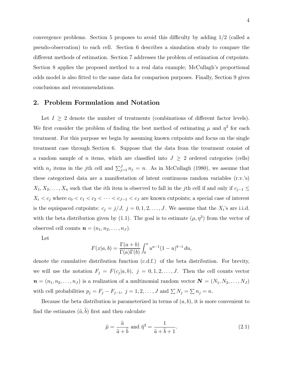convergence problems. Section 5 proposes to avoid this difficulty by adding  $1/2$  (called a pseudo-observation) to each cell. Section 6 describes a simulation study to compare the different methods of estimation. Section 7 addresses the problem of estimation of cutpoints. Section 8 applies the proposed method to a real data example; McCullagh's proportional odds model is also fitted to the same data for comparison purposes. Finally, Section 9 gives conclusions and recommendations.

# 2. Problem Formulation and Notation

Let  $I \geq 2$  denote the number of treatments (combinations of different factor levels). We first consider the problem of finding the best method of estimating  $\mu$  and  $\eta^2$  for each treatment. For this purpose we begin by assuming known cutpoints and focus on the single treatment case through Section 6. Suppose that the data from the treatment consist of a random sample of n items, which are classified into  $J \geq 2$  ordered categories (cells) with  $n_j$  items in the jth cell and  $\sum_{j=1}^{J} n_j = n$ . As in McCullagh (1980), we assume that these categorized data are a manifestation of latent continuous random variables (r.v.'s)  $X_1, X_2, \ldots, X_n$  such that the *i*th item is observed to fall in the *j*th cell if and only if  $c_{j-1} \leq$  $X_i < c_j$  where  $c_0 < c_1 < c_2 < \cdots < c_{J-1} < c_J$  are known cutpoints; a special case of interest is the equispaced cutpoints:  $c_j = j/J$ ,  $j = 0, 1, 2, \ldots, J$ . We assume that the  $X_i$ 's are i.i.d. with the beta distribution given by (1.1). The goal is to estimate  $(\mu, \eta^2)$  from the vector of observed cell counts  $\mathbf{n} = (n_1, n_2, \ldots, n_J)$ .

Let

$$
F(x|a, b) = \frac{\Gamma(a+b)}{\Gamma(a)\Gamma(b)} \int_0^x u^{a-1} (1-u)^{b-1} du,
$$

denote the cumulative distribution function (c.d.f.) of the beta distribution. For brevity, we will use the notation  $F_j = F(c_j | a, b), j = 0, 1, 2, \ldots, J$ . Then the cell counts vector  $\mathbf{n} = (n_1, n_2, \ldots, n_J)$  is a realization of a multinomial random vector  $\mathbf{N} = (N_1, N_2, \ldots, N_J)$ with cell probabilities  $p_j = F_j - F_{j-1}, j = 1, 2, \ldots, J$  and  $\sum N_j = \sum n_j = n$ .

Because the beta distribution is parameterized in terms of  $(a, b)$ , it is more convenient to find the estimates  $(\widehat{a}, \widehat{b})$  first and then calculate

$$
\hat{\mu} = \frac{\hat{a}}{\hat{a} + \hat{b}} \text{ and } \hat{\eta}^2 = \frac{1}{\hat{a} + \hat{b} + 1}.
$$
\n(2.1)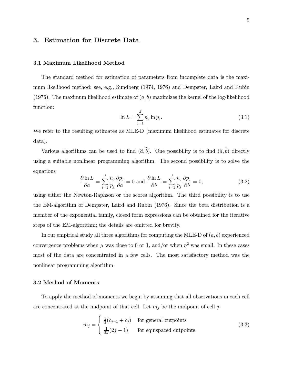# 3. Estimation for Discrete Data

#### 3.1 Maximum Likelihood Method

The standard method for estimation of parameters from incomplete data is the maximum likelihood method; see, e.g., Sundberg (1974, 1976) and Dempster, Laird and Rubin (1976). The maximum likelihood estimate of  $(a, b)$  maximizes the kernel of the log-likelihood function:

$$
\ln L = \sum_{j=1}^{J} n_j \ln p_j.
$$
\n(3.1)

We refer to the resulting estimates as MLE-D (maximum likelihood estimates for discrete data).

Various algorithms can be used to find  $(\hat{a}, \hat{b})$ . One possibility is to find  $(\hat{a}, \hat{b})$  directly using a suitable nonlinear programming algorithm. The second possibility is to solve the equations

$$
\frac{\partial \ln L}{\partial a} = \sum_{j=1}^{J} \frac{n_j}{p_j} \frac{\partial p_j}{\partial a} = 0 \text{ and } \frac{\partial \ln L}{\partial b} = \sum_{j=1}^{J} \frac{n_j}{p_j} \frac{\partial p_j}{\partial b} = 0,
$$
\n(3.2)

using either the Newton-Raphson or the scores algorithm. The third possibility is to use the EM-algorithm of Dempster, Laird and Rubin (1976). Since the beta distribution is a member of the exponential family, closed form expressions can be obtained for the iterative steps of the EM-algorithm; the details are omitted for brevity.

In our empirical study all three algorithms for computing the MLE-D of  $(a, b)$  experienced convergence problems when  $\mu$  was close to 0 or 1, and/or when  $\eta^2$  was small. In these cases most of the data are concentrated in a few cells. The most satisfactory method was the nonlinear programming algorithm.

#### 3.2 Method of Moments

To apply the method of moments we begin by assuming that all observations in each cell are concentrated at the midpoint of that cell. Let  $m_j$  be the midpoint of cell j:

$$
m_j = \begin{cases} \frac{1}{2}(c_{j-1} + c_j) & \text{for general cutpoints} \\ \frac{1}{2J}(2j-1) & \text{for equispaced cutpoints.} \end{cases}
$$
 (3.3)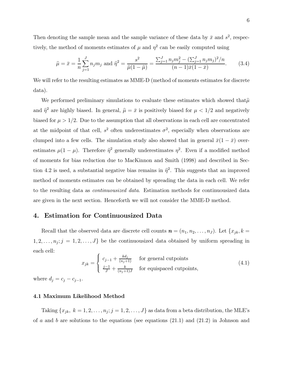Then denoting the sample mean and the sample variance of these data by  $\bar{x}$  and  $s^2$ , respectively, the method of moments estimates of  $\mu$  and  $\eta^2$  can be easily computed using

$$
\hat{\mu} = \bar{x} = \frac{1}{n} \sum_{j=1}^{J} n_j m_j \text{ and } \hat{\eta}^2 = \frac{s^2}{\hat{\mu}(1-\hat{\mu})} = \frac{\sum_{j=1}^{J} n_j m_j^2 - (\sum_{j=1}^{J} n_j m_j)^2 / n}{(n-1)\bar{x}(1-\bar{x})}.
$$
(3.4)

We will refer to the resulting estimates as MME-D (method of moments estimates for discrete data).

We performed preliminary simulations to evaluate these estimates which showed that  $\hat{\mu}$ and  $\hat{\eta}^2$  are highly biased. In general,  $\hat{\mu} = \bar{x}$  is positively biased for  $\mu < 1/2$  and negatively biased for  $\mu > 1/2$ . Due to the assumption that all observations in each cell are concentrated at the midpoint of that cell,  $s^2$  often underestimates  $\sigma^2$ , especially when observations are clumped into a few cells. The simulation study also showed that in general  $\bar{x}(1-\bar{x})$  overestimates  $\mu(1 - \mu)$ . Therefore  $\hat{\eta}^2$  generally underestimates  $\eta^2$ . Even if a modified method of moments for bias reduction due to MacKinnon and Smith (1998) and described in Section 4.2 is used, a substantial negative bias remains in  $\hat{\eta}^2$ . This suggests that an improved method of moments estimates can be obtained by spreading the data in each cell. We refer to the resulting data as continuousized data. Estimation methods for continuousized data are given in the next section. Henceforth we will not consider the MME-D method.

# 4. Estimation for Continuousized Data

Recall that the observed data are discrete cell counts  $\mathbf{n} = (n_1, n_2, \ldots, n_J)$ . Let  $\{x_{jk}, k =$  $1, 2, \ldots, n_j; j = 1, 2, \ldots, J\}$  be the continuousized data obtained by uniform spreading in each cell:

$$
x_{jk} = \begin{cases} c_{j-1} + \frac{kd_j}{(n_j+1)} & \text{for general cutpoints} \\ \frac{j-1}{J} + \frac{k}{(n_j+1)J} & \text{for equispaced cutpoints,} \end{cases}
$$
(4.1)

where  $d_j = c_j - c_{j-1}$ .

## 4.1 Maximum Likelihood Method

Taking  $\{x_{jk}, k = 1, 2, \ldots, n_j; j = 1, 2, \ldots, J\}$  as data from a beta distribution, the MLE's of a and b are solutions to the equations (see equations  $(21.1)$ ) and  $(21.2)$  in Johnson and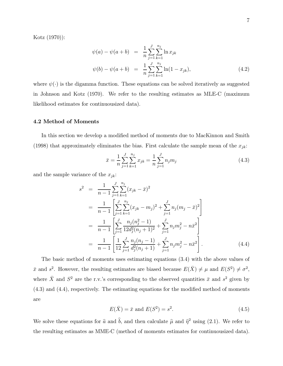Kotz (1970)):

$$
\psi(a) - \psi(a+b) = \frac{1}{n} \sum_{j=1}^{J} \sum_{k=1}^{n_j} \ln x_{jk}
$$
  

$$
\psi(b) - \psi(a+b) = \frac{1}{n} \sum_{j=1}^{J} \sum_{k=1}^{n_j} \ln(1 - x_{jk}),
$$
 (4.2)

where  $\psi(\cdot)$  is the digamma function. These equations can be solved iteratively as suggested in Johnson and Kotz (1970). We refer to the resulting estimates as MLE-C (maximum likelihood estimates for continuousized data).

## 4.2 Method of Moments

In this section we develop a modified method of moments due to MacKinnon and Smith (1998) that approximately eliminates the bias. First calculate the sample mean of the  $x_{jk}$ :

$$
\bar{x} = \frac{1}{n} \sum_{j=1}^{J} \sum_{k=1}^{n_j} x_{jk} = \frac{1}{n} \sum_{j=1}^{J} n_j m_j
$$
\n(4.3)

and the sample variance of the  $x_{jk}$ :

$$
s^{2} = \frac{1}{n-1} \sum_{j=1}^{J} \sum_{k=1}^{n_{j}} (x_{jk} - \bar{x})^{2}
$$
  
\n
$$
= \frac{1}{n-1} \left[ \sum_{j=1}^{J} \sum_{k=1}^{n_{j}} (x_{jk} - m_{j})^{2} + \sum_{j=1}^{J} n_{j} (m_{j} - \bar{x})^{2} \right]
$$
  
\n
$$
= \frac{1}{n-1} \left[ \sum_{j=1}^{J} \frac{n_{j} (n_{j}^{2} - 1)}{12 d_{j}^{2} (n_{j} + 1)^{2}} + \sum_{j=1}^{J} n_{j} m_{j}^{2} - n \bar{x}^{2} \right]
$$
  
\n
$$
= \frac{1}{n-1} \left[ \frac{1}{12} \sum_{j=1}^{J} \frac{n_{j} (n_{j} - 1)}{d_{j}^{2} (n_{j} + 1)} + \sum_{j=1}^{J} n_{j} m_{j}^{2} - n \bar{x}^{2} \right].
$$
 (4.4)

The basic method of moments uses estimating equations (3.4) with the above values of  $\bar{x}$  and  $s^2$ . However, the resulting estimates are biased because  $E(\bar{X}) \neq \mu$  and  $E(S^2) \neq \sigma^2$ , where  $\bar{X}$  and  $S^2$  are the r.v.'s corresponding to the observed quantities  $\bar{x}$  and  $s^2$  given by  $(4.3)$  and  $(4.4)$ , respectively. The estimating equations for the modified method of moments are

$$
E(\bar{X}) = \bar{x} \text{ and } E(S^2) = s^2.
$$
\n
$$
(4.5)
$$

We solve these equations for  $\hat{a}$  and  $\hat{b}$ , and then calculate  $\hat{\mu}$  and  $\hat{\eta}^2$  using (2.1). We refer to the resulting estimates as MME-C (method of moments estimates for continuousized data).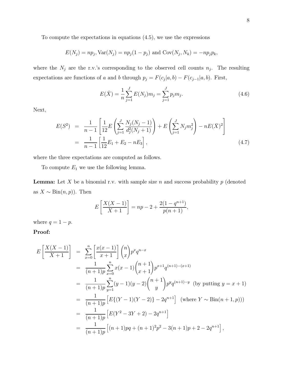To compute the expectations in equations (4.5), we use the expressions

$$
E(N_j) = np_j, \text{Var}(N_j) = np_j(1 - p_j) \text{ and } \text{Cov}(N_j, N_k) = -np_jp_k,
$$

where the  $N_j$  are the r.v.'s corresponding to the observed cell counts  $n_j$ . The resulting expectations are functions of a and b through  $p_j = F(c_j|a, b) - F(c_{j-1}|a, b)$ . First,

$$
E(\bar{X}) = \frac{1}{n} \sum_{j=1}^{J} E(N_j) m_j = \sum_{j=1}^{J} p_j m_j.
$$
 (4.6)

Next,

$$
E(S^2) = \frac{1}{n-1} \left[ \frac{1}{12} E\left( \sum_{j=1}^J \frac{N_j (N_j - 1)}{d_j^2 (N_j + 1)} \right) + E\left( \sum_{j=1}^J N_j m_j^2 \right) - nE(\bar{X})^2 \right]
$$
  
= 
$$
\frac{1}{n-1} \left[ \frac{1}{12} E_1 + E_2 - nE_3 \right],
$$
(4.7)

where the three expectations are computed as follows.

To compute  $E_1$  we use the following lemma.

**Lemma:** Let X be a binomial r.v. with sample size n and success probability  $p$  (denoted as  $X \sim Bin(n, p)$ . Then

$$
E\left[\frac{X(X-1)}{X+1}\right] = np - 2 + \frac{2(1-q^{n+1})}{p(n+1)},
$$

where  $q = 1 - p$ .

## Proof:

$$
E\left[\frac{X(X-1)}{X+1}\right] = \sum_{x=0}^{n} \left[\frac{x(x-1)}{x+1}\right] {n \choose x} p^x q^{n-x}
$$
  
\n
$$
= \frac{1}{(n+1)p} \sum_{x=0}^{n} x(x-1) {n+1 \choose x+1} p^{x+1} q^{(n+1)-(x+1)}
$$
  
\n
$$
= \frac{1}{(n+1)p} \sum_{y=1}^{n} (y-1)(y-2) {n+1 \choose y} p^y q^{(n+1)-y} \text{ (by putting } y = x+1)
$$
  
\n
$$
= \frac{1}{(n+1)p} \left[E\{(Y-1)(Y-2)\} - 2q^{n+1}\right] \text{ (where } Y \sim Bin(n+1,p))\right)
$$
  
\n
$$
= \frac{1}{(n+1)p} \left[E(Y^2 - 3Y + 2) - 2q^{n+1}\right]
$$
  
\n
$$
= \frac{1}{(n+1)p} \left[(n+1)p + (n+1)^2p^2 - 3(n+1)p + 2 - 2q^{n+1}\right],
$$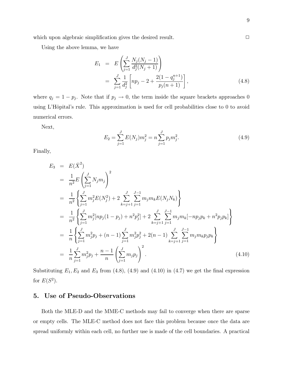which upon algebraic simplification gives the desired result.  $\Box$ 

Using the above lemma, we have

$$
E_1 = E\left(\sum_{j=1}^{J} \frac{N_j(N_j - 1)}{d_j^2(N_j + 1)}\right)
$$
  
= 
$$
\sum_{j=1}^{J} \frac{1}{d_j^2} \left[ np_j - 2 + \frac{2(1 - q_j^{n+1})}{p_j(n+1)} \right],
$$
 (4.8)

where  $q_j = 1 - p_j$ . Note that if  $p_j \to 0$ , the term inside the square brackets approaches 0 using L'Hôpital's rule. This approximation is used for cell probabilities close to 0 to avoid numerical errors.

Next,

$$
E_2 = \sum_{j=1}^{J} E(N_j) m_j^2 = n \sum_{j=1}^{J} p_j m_j^2.
$$
 (4.9)

Finally,

$$
E_3 = E(\bar{X}^2)
$$
  
\n
$$
= \frac{1}{n^2} E\left(\sum_{j=1}^J N_j m_j\right)^2
$$
  
\n
$$
= \frac{1}{n^2} \left\{ \sum_{j=1}^J m_j^2 E(N_j^2) + 2 \sum_{k=j+1}^J \sum_{j=1}^{J-1} m_j m_k E(N_j N_k) \right\}
$$
  
\n
$$
= \frac{1}{n^2} \left\{ \sum_{j=1}^J m_j^2 [np_j (1 - p_j) + n^2 p_j^2] + 2 \sum_{k=j+1}^J \sum_{j=1}^{J-1} m_j m_k [-np_j p_k + n^2 p_j p_k] \right\}
$$
  
\n
$$
= \frac{1}{n} \left\{ \sum_{j=1}^J m_j^2 p_j + (n-1) \sum_{j=1}^J m_j^2 p_j^2 + 2(n-1) \sum_{k=j+1}^J \sum_{j=1}^{J-1} m_j m_k p_j p_k \right\}
$$
  
\n
$$
= \frac{1}{n} \sum_{j=1}^J m_j^2 p_j + \frac{n-1}{n} \left( \sum_{j=1}^J m_j p_j \right)^2.
$$
 (4.10)

Substituting  $E_1, E_2$  and  $E_3$  from (4.8), (4.9) and (4.10) in (4.7) we get the final expression for  $E(S^2)$ .

# 5. Use of Pseudo-Observations

Both the MLE-D and the MME-C methods may fail to converge when there are sparse or empty cells. The MLE-C method does not face this problem because once the data are spread uniformly within each cell, no further use is made of the cell boundaries. A practical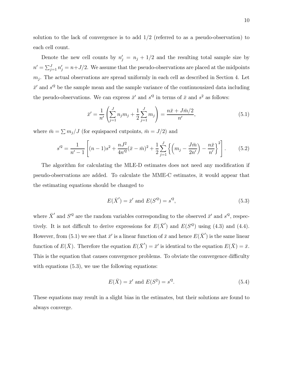solution to the lack of convergence is to add  $1/2$  (referred to as a pseudo-observation) to each cell count.

Denote the new cell counts by  $n'_j = n_j + 1/2$  and the resulting total sample size by  $n' = \sum_{j=1}^{J} n'_j = n + J/2$ . We assume that the pseudo-observations are placed at the midpoints  $m_i$ . The actual observations are spread uniformly in each cell as described in Section 4. Let  $\bar{x}'$  and  $s'^2$  be the sample mean and the sample variance of the continuousized data including the pseudo-observations. We can express  $\bar{x}'$  and  $s'^2$  in terms of  $\bar{x}$  and  $s^2$  as follows:

$$
\bar{x}' = \frac{1}{n'} \left( \sum_{j=1}^{J} n_j m_j + \frac{1}{2} \sum_{j=1}^{J} m_j \right) = \frac{n\bar{x} + J\bar{m}/2}{n'},\tag{5.1}
$$

where  $\bar{m} = \sum m_j / J$  (for equispaced cutpoints,  $\bar{m} = J/2$ ) and

$$
s'^2 = \frac{1}{n'-1} \left[ (n-1)s^2 + \frac{nJ^2}{4n'^2} (\bar{x} - \bar{m})^2 + \frac{1}{2} \sum_{j=1}^J \left\{ \left( m_j - \frac{J\bar{m}}{2n'} \right) - \frac{n\bar{x}}{n'} \right\}^2 \right].
$$
 (5.2)

The algorithm for calculating the MLE-D estimates does not need any modification if pseudo-observations are added. To calculate the MME-C estimates, it would appear that the estimating equations should be changed to

$$
E(\bar{X}') = \bar{x}' \text{ and } E(S'^2) = s'^2,
$$
\n(5.3)

where  $\bar{X}'$  and  $S'^2$  are the random variables corresponding to the observed  $\bar{x}'$  and  $s'^2$ , respectively. It is not difficult to derive expressions for  $E(\bar{X}')$  and  $E(S'^2)$  using (4.3) and (4.4). However, from (5.1) we see that  $\bar{x}'$  is a linear function of  $\bar{x}$  and hence  $E(\bar{X}')$  is the same linear function of  $E(\bar{X})$ . Therefore the equation  $E(\bar{X}') = \bar{x}'$  is identical to the equation  $E(\bar{X}) = \bar{x}$ . This is the equation that causes convergence problems. To obviate the convergence difficulty with equations  $(5.3)$ , we use the following equations:

$$
E(\bar{X}) = \bar{x}' \text{ and } E(S^2) = s'^2. \tag{5.4}
$$

These equations may result in a slight bias in the estimates, but their solutions are found to always converge.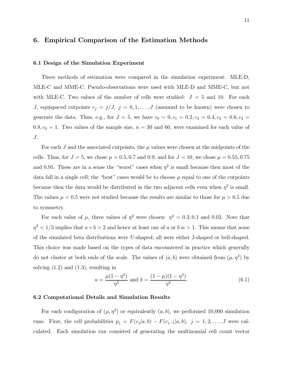# 6. Empirical Comparison of the Estimation Methods

## 6.1 Design of the Simulation Experiment

Three methods of estimation were compared in the simulation experiment: MLE-D, MLE-C and MME-C. Pseudo-observations were used with MLE-D and MME-C, but not with MLE-C. Two values of the number of cells were studied:  $J = 5$  and 10. For each J, equispaced cutpoints  $c_j = j/J$ ,  $j = 0, 1, \ldots, J$  (assumed to be known) were chosen to generate the data. Thus, e.g., for  $J = 5$ , we have  $c_0 = 0, c_1 = 0.2, c_2 = 0.4, c_3 = 0.6, c_4 = 0.6$  $0.8, c_5 = 1$ . Two values of the sample size,  $n = 30$  and 60, were examined for each value of J.

For each J and the associated cutpoints, the  $\mu$  values were chosen at the midpoints of the cells. Thus, for  $J = 5$ , we chose  $\mu = 0.5, 0.7$  and 0.9, and for  $J = 10$ , we chose  $\mu = 0.55, 0.75$ and 0.95. These are in a sense the "worst" cases when  $\eta^2$  is small because then most of the data fall in a single cell; the "best" cases would be to choose  $\mu$  equal to one of the cutpoints because then the data would be distributed in the two adjacent cells even when  $\eta^2$  is small. The values  $\mu < 0.5$  were not studied because the results are similar to those for  $\mu > 0.5$  due to symmetry.

For each value of  $\mu$ , three values of  $\eta^2$  were chosen:  $\eta^2 = 0.3, 0.1$  and 0.03. Note that  $\eta^2$  < 1/3 implies that  $a+b > 2$  and hence at least one of a or b is > 1. This means that none of the simulated beta distributions were U-shaped; all were either J-shaped or bell-shaped. This choice was made based on the types of data encountered in practice which generally do not cluster at both ends of the scale. The values of  $(a, b)$  were obtained from  $(\mu, \eta^2)$  by solving  $(1.2)$  and  $(1.3)$ , resulting in

$$
a = \frac{\mu(1 - \eta^2)}{\eta^2} \text{ and } b = \frac{(1 - \mu)(1 - \eta^2)}{\eta^2}.
$$
 (6.1)

## 6.2 Computational Details and Simulation Results

For each configuration of  $(\mu, \eta^2)$  or equivalently  $(a, b)$ , we performed 10,000 simulation runs. First, the cell probabilities  $p_j = F(c_j|a, b) - F(c_{j-1}|a, b), j = 1, 2, \ldots, J$  were calculated. Each simulation run consisted of generating the multinomial cell count vector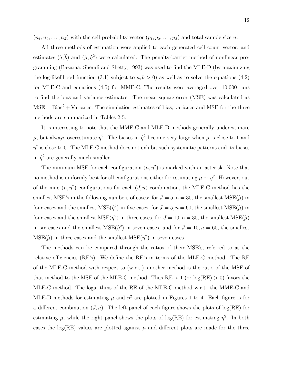$(n_1, n_2, \ldots, n_J)$  with the cell probability vector  $(p_1, p_2, \ldots, p_J)$  and total sample size n.

All three methods of estimation were applied to each generated cell count vector, and estimates  $(\hat{a}, \hat{b})$  and  $(\hat{\mu}, \hat{\eta}^2)$  were calculated. The penalty-barrier method of nonlinear programming (Bazaraa, Sherali and Shetty, 1993) was used to find the MLE-D (by maximizing the log-likelihood function (3.1) subject to  $a, b > 0$ ) as well as to solve the equations (4.2) for MLE-C and equations (4.5) for MME-C. The results were averaged over 10,000 runs to find the bias and variance estimates. The mean square error (MSE) was calculated as  $MSE = Bias<sup>2</sup> + Variance$ . The simulation estimates of bias, variance and MSE for the three methods are summarized in Tables 2-5.

It is interesting to note that the MME-C and MLE-D methods generally underestimate  $\mu$ , but always overestimate  $\eta^2$ . The biases in  $\hat{\eta}^2$  become very large when  $\mu$  is close to 1 and  $\eta^2$  is close to 0. The MLE-C method does not exhibit such systematic patterns and its biases in  $\hat{\eta}^2$  are generally much smaller.

The minimum MSE for each configuration  $(\mu, \eta^2)$  is marked with an asterisk. Note that no method is uniformly best for all configurations either for estimating  $\mu$  or  $\eta^2$ . However, out of the nine  $(\mu, \eta^2)$  configurations for each  $(J, n)$  combination, the MLE-C method has the smallest MSE's in the following numbers of cases: for  $J = 5, n = 30$ , the smallest  $MSE(\hat{\mu})$  in four cases and the smallest  $MSE(\hat{\eta}^2)$  in five cases, for  $J = 5$ ,  $n = 60$ , the smallest  $MSE(\hat{\mu})$  in four cases and the smallest  $MSE(\hat{\eta}^2)$  in three cases, for  $J = 10, n = 30$ , the smallest  $MSE(\hat{\mu})$ in six cases and the smallest  $MSE(\hat{\eta}^2)$  in seven cases, and for  $J = 10, n = 60$ , the smallest  $MSE(\hat{\mu})$  in three cases and the smallest  $MSE(\hat{\eta}^2)$  in seven cases.

The methods can be compared through the ratios of their MSE's, referred to as the relative efficiencies (RE's). We define the RE's in terms of the MLE-C method. The RE of the MLE-C method with respect to (w.r.t.) another method is the ratio of the MSE of that method to the MSE of the MLE-C method. Thus  $RE > 1$  (or  $log(RE) > 0$ ) favors the MLE-C method. The logarithms of the RE of the MLE-C method w.r.t. the MME-C and MLE-D methods for estimating  $\mu$  and  $\eta^2$  are plotted in Figures 1 to 4. Each figure is for a different combination  $(J, n)$ . The left panel of each figure shows the plots of log(RE) for estimating  $\mu$ , while the right panel shows the plots of log(RE) for estimating  $\eta^2$ . In both cases the log(RE) values are plotted against  $\mu$  and different plots are made for the three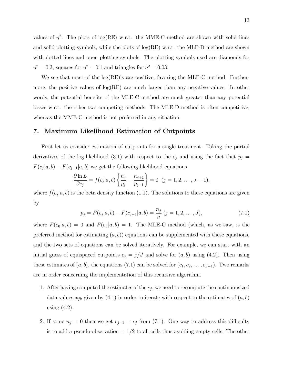values of  $\eta^2$ . The plots of log(RE) w.r.t. the MME-C method are shown with solid lines and solid plotting symbols, while the plots of  $log(RE)$  w.r.t. the MLE-D method are shown with dotted lines and open plotting symbols. The plotting symbols used are diamonds for  $\eta^2 = 0.3$ , squares for  $\eta^2 = 0.1$  and triangles for  $\eta^2 = 0.03$ .

We see that most of the  $log(RE)$ 's are positive, favoring the MLE-C method. Furthermore, the positive values of log(RE) are much larger than any negative values. In other words, the potential benefits of the MLE-C method are much greater than any potential losses w.r.t. the other two competing methods. The MLE-D method is often competitive, whereas the MME-C method is not preferred in any situation.

## 7. Maximum Likelihood Estimation of Cutpoints

First let us consider estimation of cutpoints for a single treatment. Taking the partial derivatives of the log-likelihood (3.1) with respect to the  $c_j$  and using the fact that  $p_j =$  $F(c_j|a, b) - F(c_{j-1}|a, b)$  we get the following likelihood equations

$$
\frac{\partial \ln L}{\partial c_j} = f(c_j | a, b) \left\{ \frac{n_j}{p_j} - \frac{n_{j+1}}{p_{j+1}} \right\} = 0 \ \ (j = 1, 2, \dots, J-1),
$$

where  $f(c_j|a, b)$  is the beta density function (1.1). The solutions to these equations are given by

$$
p_j = F(c_j|a, b) - F(c_{j-1}|a, b) = \frac{n_j}{n} (j = 1, 2, ..., J),
$$
\n(7.1)

where  $F(c_0|a, b) = 0$  and  $F(c_j|a, b) = 1$ . The MLE-C method (which, as we saw, is the preferred method for estimating  $(a, b)$  equations can be supplemented with these equations, and the two sets of equations can be solved iteratively. For example, we can start with an initial guess of equispaced cutpoints  $c_j = j/J$  and solve for  $(a, b)$  using (4.2). Then using these estimates of  $(a, b)$ , the equations (7.1) can be solved for  $(c_1, c_2, \ldots, c_{J-1})$ . Two remarks are in order concerning the implementation of this recursive algorithm.

- 1. After having computed the estimates of the  $c_j$ , we need to recompute the continuousized data values  $x_{jk}$  given by (4.1) in order to iterate with respect to the estimates of  $(a, b)$ using (4.2).
- 2. If some  $n_j = 0$  then we get  $c_{j-1} = c_j$  from (7.1). One way to address this difficulty is to add a pseudo-observation  $= 1/2$  to all cells thus avoiding empty cells. The other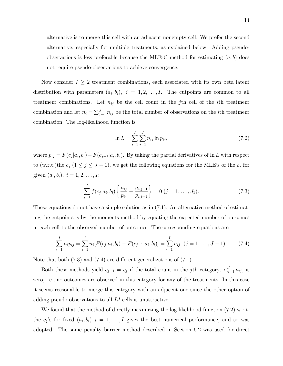alternative is to merge this cell with an adjacent nonempty cell. We prefer the second alternative, especially for multiple treatments, as explained below. Adding pseudoobservations is less preferable because the MLE-C method for estimating  $(a, b)$  does not require pseudo-observations to achieve convergence.

Now consider  $I \geq 2$  treatment combinations, each associated with its own beta latent distribution with parameters  $(a_i, b_i)$ ,  $i = 1, 2, \ldots, I$ . The cutpoints are common to all treatment combinations. Let  $n_{ij}$  be the cell count in the j<sup>th</sup> cell of the *i*th treatment combination and let  $n_i = \sum_{j=1}^{J} n_{ij}$  be the total number of observations on the *i*th treatment combination. The log-likelihood function is

$$
\ln L = \sum_{i=1}^{I} \sum_{j=1}^{J} n_{ij} \ln p_{ij},\tag{7.2}
$$

where  $p_{ij} = F(c_j|a_i, b_i) - F(c_{j-1}|a_i, b_i)$ . By taking the partial derivatives of ln L with respect to (w.r.t.)the  $c_j$  ( $1 \le j \le J - 1$ ), we get the following equations for the MLE's of the  $c_j$  for given  $(a_i, b_i), i = 1, 2, \ldots, I:$ 

$$
\sum_{i=1}^{I} f(c_j | a_i, b_i) \left\{ \frac{n_{ij}}{p_{ij}} - \frac{n_{i,j+1}}{p_{i,j+1}} \right\} = 0 \ (j = 1, \dots, J_1). \tag{7.3}
$$

These equations do not have a simple solution as in (7.1). An alternative method of estimating the cutpoints is by the moments method by equating the expected number of outcomes in each cell to the observed number of outcomes. The corresponding equations are

$$
\sum_{i=1}^{I} n_i p_{ij} = \sum_{i=1}^{I} n_i [F(c_j | a_i, b_i) - F(c_{j-1} | a_i, b_i)] = \sum_{i=1}^{I} n_{ij} \quad (j = 1, ..., J - 1).
$$
 (7.4)

Note that both  $(7.3)$  and  $(7.4)$  are different generalizations of  $(7.1)$ .

Both these methods yield  $c_{j-1} = c_j$  if the total count in the jth category,  $\sum_{i=1}^{I} n_{ij}$ , is zero, i.e., no outcomes are observed in this category for any of the treatments. In this case it seems reasonable to merge this category with an adjacent one since the other option of adding pseudo-observations to all IJ cells is unattractive.

We found that the method of directly maximizing the log-likelihood function  $(7.2)$  w.r.t. the  $c_j$ 's for fixed  $(a_i, b_i)$   $i = 1, \ldots, I$  gives the best numerical performance, and so was adopted. The same penalty barrier method described in Section 6.2 was used for direct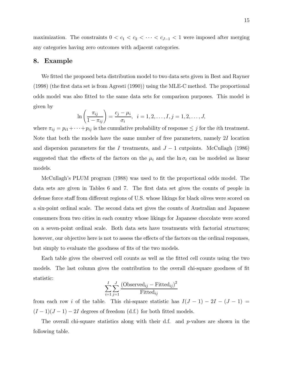maximization. The constraints  $0 < c_1 < c_2 < \cdots < c_{J-1} < 1$  were imposed after merging any categories having zero outcomes with adjacent categories.

## 8. Example

We fitted the proposed beta distribution model to two data sets given in Best and Rayner  $(1998)$  (the first data set is from Agresti  $(1990)$ ) using the MLE-C method. The proportional odds model was also fitted to the same data sets for comparison purposes. This model is given by

$$
\ln\left(\frac{\pi_{ij}}{1-\pi_{ij}}\right) = \frac{c_j - \mu_i}{\sigma_i}, \ \ i = 1, 2, \dots, I, j = 1, 2, \dots, J,
$$

where  $\pi_{ij} = p_{i1} + \cdots + p_{ij}$  is the cumulative probability of response  $\leq j$  for the *i*th treatment. Note that both the models have the same number of free parameters, namely 2I location and dispersion parameters for the I treatments, and  $J-1$  cutpoints. McCullagh (1986) suggested that the effects of the factors on the  $\mu_i$  and the  $\ln \sigma_i$  can be modeled as linear models.

McCullagh's PLUM program (1988) was used to fit the proportional odds model. The data sets are given in Tables 6 and 7. The first data set gives the counts of people in defense force staff from different regions of U.S. whose likings for black olives were scored on a six-point ordinal scale. The second data set gives the counts of Australian and Japanese consumers from two cities in each country whose likings for Japanese chocolate were scored on a seven-point ordinal scale. Both data sets have treatments with factorial structures; however, our objective here is not to assess the effects of the factors on the ordinal responses, but simply to evaluate the goodness of fits of the two models.

Each table gives the observed cell counts as well as the fitted cell counts using the two models. The last column gives the contribution to the overall chi-square goodness of fit statistic:

$$
\sum_{i=1}^{I} \sum_{j=1}^{J} \frac{\left(\text{Observed}_{ij} - \text{Fitted}_{ij}\right)^2}{\text{Fitted}_{ij}}
$$

from each row *i* of the table. This chi-square statistic has  $I(J - 1) - 2I - (J - 1) =$  $(I-1)(J-1)-2I$  degrees of freedom (d.f.) for both fitted models.

The overall chi-square statistics along with their d.f. and  $p$ -values are shown in the following table.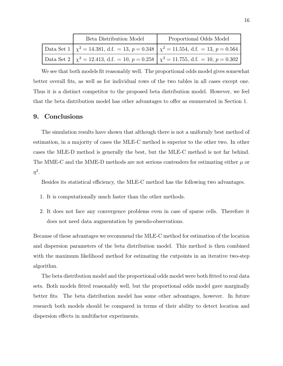| Beta Distribution Model                                                                          | Proportional Odds Model |
|--------------------------------------------------------------------------------------------------|-------------------------|
| Data Set 1 $\chi^2 = 14.381$ , d.f. = 13, p = 0.348 $\chi^2 = 11.554$ , d.f. = 13, p = 0.564     |                         |
| Data Set 2 $\chi^2 = 12.413$ , d.f. = 10, $p = 0.258$ $\chi^2 = 11.755$ , d.f. = 10, $p = 0.302$ |                         |

We see that both models fit reasonably well. The proportional odds model gives somewhat better overall fits, as well as for individual rows of the two tables in all cases except one. Thus it is a distinct competitor to the proposed beta distribution model. However, we feel that the beta distribution model has other advantages to offer as enumerated in Section 1.

## 9. Conclusions

The simulation results have shown that although there is not a uniformly best method of estimation, in a majority of cases the MLE-C method is superior to the other two. In other cases the MLE-D method is generally the best, but the MLE-C method is not far behind. The MME-C and the MME-D methods are not serious contenders for estimating either  $\mu$  or  $\eta^2$ .

Besides its statistical efficiency, the MLE-C method has the following two advantages.

- 1. It is computationally much faster than the other methods.
- 2. It does not face any convergence problems even in case of sparse cells. Therefore it does not need data augmentation by pseudo-observations.

Because of these advantages we recommend the MLE-C method for estimation of the location and dispersion parameters of the beta distribution model. This method is then combined with the maximum likelihood method for estimating the cutpoints in an iterative two-step algorithm.

The beta distribution model and the proportional odds model were both fitted to real data sets. Both models fitted reasonably well, but the proportional odds model gave marginally better fits. The beta distribution model has some other advantages, however. In future research both models should be compared in terms of their ability to detect location and dispersion effects in multifactor experiments.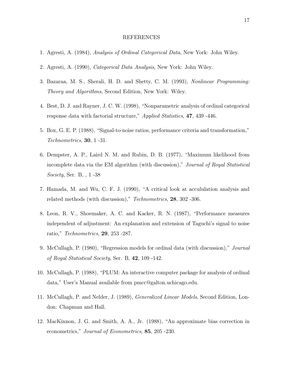#### REFERENCES

- 1. Agresti, A. (1984), Analysis of Ordinal Categorical Data, New York: John Wiley.
- 2. Agresti, A. (1990), Categorical Data Analysis, New York: John Wiley.
- 3. Bazaraa, M. S., Sherali, H. D. and Shetty, C. M. (1993), Nonlinear Programming: Theory and Algorithms, Second Edition, New York: Wiley.
- 4. Best, D. J. and Rayner, J. C. W. (1998), \Nonparametric analysis of ordinal categorical response data with factorial structure," Applied Statistics, 47, 439 -446.
- 5. Box, G. E. P. (1988), "Signal-to-noise ratios, performance criteria and transformation," Technometrics, 30, 1 -31.
- 6. Dempster, A. P., Laird N. M. and Rubin, D. B. (1977), "Maximum likelihood from incomplete data via the EM algorithm (with discussion)," Journal of Royal Statistical Society, Ser. B, , 1 -38
- 7. Hamada, M. and Wu, C. F. J. (1990), "A critical look at accululation analysis and related methods (with discussion)," Technometrics, 28, 302 -306.
- 8. Leon, R. V., Shoemaker, A. C. and Kacker, R. N. (1987), \Performance measures independent of adjustment: An explanation and extension of Taguchi's signal to noise ratio," Technometrics, 29, 253 -287.
- 9. McCullagh, P. (1980), "Regression models for ordinal data (with discussion)," *Journal* of Royal Statistical Society, Ser. B, 42, 109 -142.
- 10. McCullagh, P. (1988), \PLUM: An interactive computer package for analysis of ordinal data," User's Manual available from pmcc@galton.uchicago.edu.
- 11. McCullagh, P. and Nelder, J. (1989), Generalized Linear Models, Second Edition, London: Chapman and Hall.
- 12. MacKinnon, J. G. and Smith, A. A., Jr. (1988), "An approximate bias correction in econometrics," Journal of Econometrics, 85, 205 -230.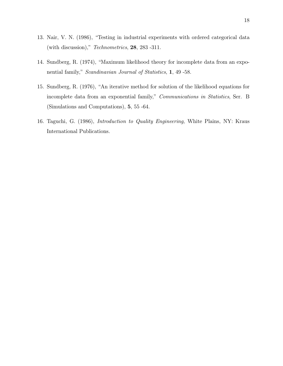- 13. Nair, V. N. (1986), "Testing in industrial experiments with ordered categorical data (with discussion)," Technometrics, 28, 283 -311.
- 14. Sundberg, R. (1974), "Maximum likelihood theory for incomplete data from an exponential family," Scandinavian Journal of Statistics, 1, 49 -58.
- 15. Sundberg, R. (1976), "An iterative method for solution of the likelihood equations for incomplete data from an exponential family," Communications in Statistics, Ser. B (Simulations and Computations), 5, 55 -64.
- 16. Taguchi, G. (1986), Introduction to Quality Engineering, White Plains, NY: Kraus International Publications.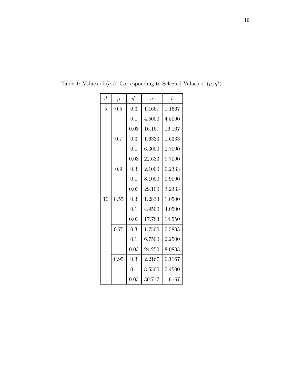| J  | $\mu$ | $\eta^2$ | $\overline{a}$ | $\boldsymbol{b}$ |
|----|-------|----------|----------------|------------------|
| 5  | 0.5   | 0.3      | 1.1667         | 1.1667           |
|    |       | 0.1      | 4.5000         | 4.5000           |
|    |       | 0.03     | 16.167         | 16.167           |
|    | 0.7   | 0.3      | 1.6333         | 1.6333           |
|    |       | 0.1      | 6.3000         | 2.7000           |
|    |       | 0.03     | 22.633         | 9.7000           |
|    | 0.9   | 0.3      | 2.1000         | 0.2333           |
|    |       | 0.1      | 8.1000         | 0.9000           |
|    |       | 0.03     | 29.100         | 3.2333           |
| 10 | 0.55  | 0.3      | 1.2833         | 1.0500           |
|    |       | 0.1      | 4.9500         | 4.0500           |
|    |       | 0.03     | 17.783         | 14.550           |
|    | 0.75  | 0.3      | 1.7500         | 0.5833           |
|    |       | 0.1      | 6.7500         | 2.2500           |
|    |       | 0.03     | 24.250         | 8.0833           |
|    | 0.95  | 0.3      | 2.2167         | 0.1167           |
|    |       | 0.1      | 8.5500         | 0.4500           |
|    |       | 0.03     | 30.717         | 1.6167           |

Table 1: Values of  $(a,b)$  Corresponding to Selected Values of  $(\mu,\eta^2)$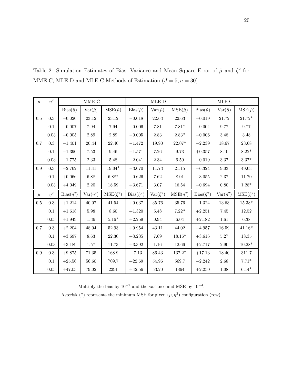| $\mu$ | $\eta^2$ |                      | $MME-C$                    |                     |                      | MLE-D                      |                     | MLE-C                |                            |                     |  |
|-------|----------|----------------------|----------------------------|---------------------|----------------------|----------------------------|---------------------|----------------------|----------------------------|---------------------|--|
|       |          | $Bias(\hat{\mu})$    | $Var(\hat{\mu})$           | $MSE(\hat{\mu})$    | $Bias(\hat{\mu})$    | $\text{Var}(\hat{\mu})$    | $MSE(\hat{\mu})$    | $Bias(\hat{\mu})$    | $\text{Var}(\hat{\mu})$    | $MSE(\hat{\mu})$    |  |
| 0.5   | 0.3      | $-0.020$             | 23.12                      | 23.12               | $-0.018$             | 22.63                      | 22.63               | $-0.019$             | 21.72                      | $21.72^{\ast}$      |  |
|       | 0.1      | $-0.007$             | 7.94                       | 7.94                | $-0.006$             | 7.81                       | $7.81*$             | $-0.004$             | 9.77                       | 9.77                |  |
|       | 0.03     | $-0.005$             | 2.89                       | 2.89                | $-0.005$             | $2.83\,$                   | $2.83*$             | $-0.006$             | 3.48                       | 3.48                |  |
| 0.7   | 0.3      | $-1.401$             | 20.44                      | 22.40               | $-1.472$             | 19.90                      | 22.07*              | $-2.239$             | 18.67                      | 23.68               |  |
|       | 0.1      | $-1.390$             | $7.53\,$                   | 9.46                | $-1.571$             | $7.26\,$                   | 9.73                | $+0.357$             | 8.10                       | $8.22^*$            |  |
|       | 0.03     | $-1.775$             | 2.33                       | 5.48                | $-2.041$             | 2.34                       | 6.50                | $-0.019$             | 3.37                       | $3.37*$             |  |
| 0.9   | $0.3\,$  | $-2.762$             | 11.41                      | $19.04*$            | $-3.070$             | 11.73                      | $21.15\,$           | $-6.324$             | 9.03                       | 49.03               |  |
|       | 0.1      | $+0.066$             | 6.88                       | $6.88*$             | $-0.626$             | 7.62                       | 8.01                | $-3.055\,$           | 2.37                       | 11.70               |  |
|       | 0.03     | $+4.049$             | $2.20\,$                   | 18.59               | $+3.671$             | $3.07\,$                   | $16.54\,$           | $-0.694$             | 0.80                       | $1.28*$             |  |
| $\mu$ | $\eta^2$ | $Bias(\hat{\eta}^2)$ | $\text{Var}(\hat{\eta}^2)$ | $MSE(\hat{\eta}^2)$ | $Bias(\hat{\eta}^2)$ | $\text{Var}(\hat{\eta}^2)$ | $MSE(\hat{\eta}^2)$ | $Bias(\hat{\eta}^2)$ | $\text{Var}(\hat{\eta}^2)$ | $MSE(\hat{\eta}^2)$ |  |
| 0.5   | 0.3      | $+1.214$             | 40.07                      | 41.54               | $+0.037$             | 35.76                      | 35.76               | $-1.324$             | 13.63                      | $15.38*$            |  |
|       | 0.1      | $+1.618$             | 5.98                       | 8.60                | $+1.320$             | 5.48                       | $7.22*$             | $+2.251$             | 7.45                       | 12.52               |  |
|       | 0.03     | $+1.949$             | $1.36\,$                   | $5.16*$             | $+2.259$             | 0.94                       | 6.04                | $+2.182$             | 1.61                       | $6.38\,$            |  |
| 0.7   | 0.3      | $+2.204$             | 48.04                      | 52.93               | $+0.954$             | 43.11                      | 44.02               | $-4.957$             | 16.59                      | $41.16*$            |  |
|       | 0.1      | $+3.697$             | 8.63                       | 22.30               | $+3.235$             | 7.69                       | $18.16*$            | $+3.616$             | 5.27                       | 18.35               |  |
|       | 0.03     | $+3.189$             | 1.57                       | 11.73               | $+3.392$             | 1.16                       | 12.66               | $+2.717$             | 2.90                       | $10.28*$            |  |
| 0.9   | $0.3\,$  | $+9.875$             | 71.35                      | 168.9               | $+7.13$              | 86.43                      | $137.2*$            | $+17.13$             | 18.40                      | 311.7               |  |
|       | 0.1      | $+25.56$             | 56.60                      | 709.7               | $+22.69$             | 54.96                      | 569.7               | $-2.242$             | 2.68                       | $7.71*$             |  |
|       | 0.03     | $+47.03$             | 79.02                      | 2291                | $+42.56$             | 53.20                      | 1864                | $+2.250$             | 1.08                       | $6.14*$             |  |

Table 2: Simulation Estimates of Bias, Variance and Mean Square Error of  $\hat{\mu}$  and  $\hat{\eta}^2$  for MME-C, MLE-D and MLE-C Methods of Estimation  $\left(J=5, n=30\right)$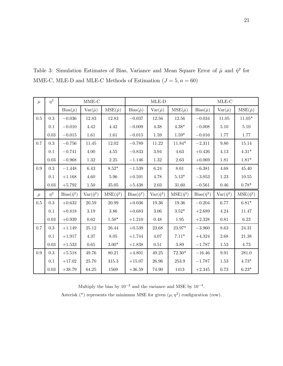| $\mu$ | $\eta^2$ |                      | MME-C                      |                     |                      | MLE-D                      |                     | MLE-C                |                            |                     |  |
|-------|----------|----------------------|----------------------------|---------------------|----------------------|----------------------------|---------------------|----------------------|----------------------------|---------------------|--|
|       |          | $Bias(\hat{\mu})$    | $\text{Var}(\hat{\mu})$    | $MSE(\hat{\mu})$    | $Bias(\hat{\mu})$    | $Var(\hat{\mu})$           | $MSE(\hat{\mu})$    | $Bias(\hat{\mu})$    | $Var(\hat{\mu})$           | $MSE(\hat{\mu})$    |  |
| 0.5   | 0.3      | $-0.036$             | 12.83                      | 12.83               | $-0.037$             | 12.56                      | 12.56               | $-0.034$             | 11.05                      | $11.05*$            |  |
|       | 0.1      | $-0.010$             | 4.42                       | 4.42                | $-0.009$             | 4.38                       | $4.38*$             | $-0.008$             | $5.10\,$                   | $5.10\,$            |  |
|       | 0.03     | $-0.015$             | 1.61                       | 1.61                | $-0.015$             | 1.59                       | $1.59*$             | $-0.016$             | 1.77                       | 1.77                |  |
| 0.7   | 0.3      | $-0.756$             | 11.45                      | 12.02               | $-0.789$             | 11.22                      | $11.84*$            | $-2.311$             | 9.80                       | 15.14               |  |
|       | 0.1      | $-0.741$             | 4.00                       | $4.55\,$            | $-0.833$             | $3.94\,$                   | 4.63                | $+0.426$             | 4.13                       | $4.31*$             |  |
|       | 0.03     | $-0.968$             | 1.32                       | $2.25\,$            | $-1.146$             | 1.32                       | 2.63                | $+0.069$             | 1.81                       | $1.81*$             |  |
| 0.9   | 0.3      | $-1.448$             | 6.43                       | $8.52*$             | $-1.539$             | 6.24                       | 8.61                | $-6.381$             | 4.68                       | 45.40               |  |
|       | 0.1      | $+1.168$             | 4.60                       | 5.96                | $+0.591$             | 4.78                       | $5.13*$             | $-3.053$             | 1.23                       | 10.55               |  |
|       | 0.03     | $+5.792$             | $1.50\,$                   | $35.05\,$           | $+5.438$             | $2.03\,$                   | $31.60\,$           | $-0.561$             | 0.46                       | $0.78*$             |  |
| $\mu$ | $\eta^2$ | $Bias(\hat{\eta}^2)$ | $\text{Var}(\hat{\eta}^2)$ | $MSE(\hat{\eta}^2)$ | $Bias(\hat{\eta}^2)$ | $\text{Var}(\hat{\eta}^2)$ | $MSE(\hat{\eta}^2)$ | $Bias(\hat{\eta}^2)$ | $\text{Var}(\hat{\eta}^2)$ | $MSE(\hat{\eta}^2)$ |  |
| 0.5   | 0.3      | $+0.632$             | 20.59                      | 20.99               | $+0.036$             | $19.36\,$                  | 19.36               | $-0.204$             | 6.77                       | $6.81*$             |  |
|       | 0.1      | $+0.818$             | 3.19                       | 3.86                | $+0.683$             | 3.06                       | $3.52*$             | $+2.689$             | 4.24                       | 11.47               |  |
|       | $0.03\,$ | $+0.939$             | $\,0.62\,$                 | $1.50*$             | $+1.210$             | 0.48                       | 1.95                | $+2.328$             | 0.81                       | 6.23                |  |
| 0.7   | $0.3\,$  | $+1.149$             | 25.12                      | $26.44\,$           | $+0.539$             | 23.68                      | $23.97*$            | $-3.960$             | 8.63                       | 24.31               |  |
|       | 0.1      | $+1.917$             | 4.37                       | 8.05                | $+1.744$             | 4.07                       | $7.11*$             | $+4.324$             | 2.68                       | 21.38               |  |
|       | 0.03     | $+1.533$             | $0.65\,$                   | $3.00*$             | $+1.838$             | $0.51\,$                   | 3.89                | $-1.787$             | 1.53                       | 4.73                |  |
| 0.9   | $0.3\,$  | $+5.518$             | 49.76                      | 80.21               | $+4.801$             | 49.25                      | $72.30*$            | $-16.46$             | 9.91                       | 281.0               |  |
|       | 0.1      | $+17.02$             | 25.70                      | $315.3\,$           | $+15.07$             | 26.96                      | $253.9\,$           | $-1.787$             | 1.53                       | $4.73*$             |  |
|       | 0.03     | $+38.79$             | 64.25                      | 1569                | $+36.59$             | 74.90                      | 1413                | $+2.345$             | 0.73                       | $6.23*$             |  |

Table 3: Simulation Estimates of Bias, Variance and Mean Square Error of  $\hat{\mu}$  and  $\hat{\eta}^2$  for MME-C, MLE-D and MLE-C Methods of Estimation  $\left(J=5,n=60\right)$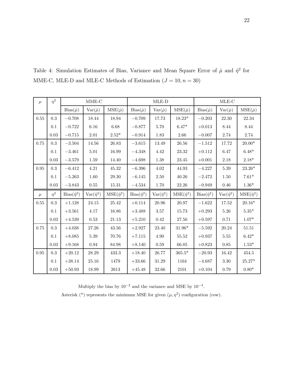| $\mu$    | $\eta^2$ |                               | $MME-C$                    |                     |                      | MLE-D                      |                     |                      | MLE-C                      |                     |  |  |
|----------|----------|-------------------------------|----------------------------|---------------------|----------------------|----------------------------|---------------------|----------------------|----------------------------|---------------------|--|--|
|          |          | $Bias(\hat{\mu})$             | $\text{Var}(\hat{\mu})$    | $MSE(\hat{\mu})$    | $Bias(\hat{\mu})$    | $\text{Var}(\hat{\mu})$    | $MSE(\hat{\mu})$    | $Bias(\hat{\mu})$    | $Var(\hat{\mu})$           | $MSE(\hat{\mu})$    |  |  |
| 0.55     | 0.3      | $-0.708$                      | 18.44                      | 18.94               | $-0.709$             | 17.73                      | $18.23*$            | $-0.203$             | 22.30                      | 22.34               |  |  |
|          | 0.1      | $-0.722$                      | 6.16                       | 6.68                | $-0.877$             | 5.70                       | $6.47*$             | $+0.013$             | 8.44                       | 8.44                |  |  |
|          | 0.03     | $-0.715$                      | 2.01                       | $2.52^{\ast}$       | $-0.914$             | 1.83                       | 2.66                | $-0.007$             | 2.74                       | 2.74                |  |  |
| 0.75     | 0.3      | $-3.504$                      | 14.56                      | 26.83               | $-3.615$             | 13.49                      | 26.56               | $-1.512$             | 17.72                      | $20.00*$            |  |  |
|          | 0.1      | $-3.461$                      | $5.01\,$                   | 16.99               | $-4.348$             | 4.42                       | 23.32               | $+0.112\,$           | 6.47                       | $6.48*$             |  |  |
|          | 0.03     | $-3.579$                      | 1.59                       | 14.40               | $-4.698$             | 1.38                       | 23.45               | $+0.001$             | 2.18                       | $2.18^{\ast}$       |  |  |
| 0.95     | 0.3      | $-6.412$                      | 4.21                       | 45.32               | $-6.396$             | 4.02                       | 44.93               | $-4.227$             | $5.39\,$                   | $23.26*$            |  |  |
|          | $0.1\,$  | $-5.263$                      | 1.60                       | 29.30               | $-6.145$             | $2.50\,$                   | 40.26               | $-2.472$             | $1.50\,$                   | $7.61^{\ast}$       |  |  |
|          | 0.03     | $-3.843$                      | $0.55\,$                   | $15.31\,$           | $-4.534$             | 1.70                       | 22.26               | $-0.949$             | 0.46                       | $1.36*$             |  |  |
| $\mu$    | $\eta^2$ | $\mathrm{Bias}(\hat{\eta}^2)$ | $\text{Var}(\hat{\eta}^2)$ | $MSE(\hat{\eta}^2)$ | $Bias(\hat{\eta}^2)$ | $\text{Var}(\hat{\eta}^2)$ | $MSE(\hat{\eta}^2)$ | $Bias(\hat{\eta}^2)$ | $\text{Var}(\hat{\eta}^2)$ | $MSE(\hat{\eta}^2)$ |  |  |
| 0.55     | 0.3      | $+1.128$                      | 24.15                      | 25.42               | $+0.114$             | 20.96                      | 20.97               | $-1.622$             | 17.52                      | $20.16*$            |  |  |
|          | 0.1      | $+3.561$                      | 4.17                       | 16.86               | $+3.488$             | $3.57\,$                   | 15.73               | $+0.293$             | $5.26\,$                   | $5.35^{\ast}$       |  |  |
|          | 0.03     | $+4.539$                      | 0.53                       | 21.13               | $+5.210$             | 0.42                       | $27.56\,$           | $+0.597$             | 0.71                       | $1.07*$             |  |  |
| 0.75     | $0.3\,$  | $+4.038$                      | 27.26                      | 43.56               | $+2.927$             | 23.40                      | $31.96*$            | $-5.592$             | 20.24                      | $51.51\,$           |  |  |
|          | 0.1      | $+8.085$                      | 5.39                       | 70.76               | $+7.115$             | 4.90                       | $55.52\,$           | $+0.937$             | $5.55\,$                   | $6.42*$             |  |  |
|          | 0.03     | $+9.168$                      | 0.94                       | 84.98               | $+8.140$             | 0.59                       | 66.85               | $+0.823$             | 0.85                       | $1.53*$             |  |  |
| $0.95\,$ | 0.3      | $+20.12$                      | 28.29                      | 433.3               | $+18.40$             | 26.77                      | $365.5*$            | $-20.93$             | 16.42                      | 454.5               |  |  |
|          | 0.1      | $+38.14$                      | 25.16                      | 1479                | $+33.66$             | $31.29\,$                  | 1164                | $-4.687$             | $3.30\,$                   | $25.27*$            |  |  |
|          | $0.03\,$ | $+50.93$                      | 18.99                      | 2613                | $+45.48$             | 32.66                      | 2101                | $+0.104$             | 0.79                       | $0.80*$             |  |  |

Table 4: Simulation Estimates of Bias, Variance and Mean Square Error of  $\hat{\mu}$  and  $\hat{\eta}^2$  for MME-C, MLE-D and MLE-C Methods of Estimation  $(J = 10, n = 30)$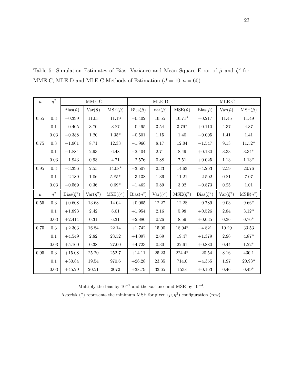| $\mu$ | $\eta^2$ |                               | $MME-C$                    |                     |                      | MLE-D                      |                     |                      | $MLE-C$                    |                     |  |  |
|-------|----------|-------------------------------|----------------------------|---------------------|----------------------|----------------------------|---------------------|----------------------|----------------------------|---------------------|--|--|
|       |          | $Bias(\hat{\mu})$             | $\text{Var}(\hat{\mu})$    | $MSE(\hat{\mu})$    | $Bias(\hat{\mu})$    | $\text{Var}(\hat{\mu})$    | $MSE(\hat{\mu})$    | $Bias(\hat{\mu})$    | $Var(\hat{\mu})$           | $MSE(\hat{\mu})$    |  |  |
| 0.55  | 0.3      | $-0.399$                      | 11.03                      | 11.19               | $-0.402$             | $10.55\,$                  | $10.71*$            | $-0.217$             | 11.45                      | 11.49               |  |  |
|       | 0.1      | $-0.405$                      | 3.70                       | 3.87                | $-0.495$             | 3.54                       | $3.79*$             | $+0.110$             | 4.37                       | 4.37                |  |  |
|       | $0.03\,$ | $-0.388$                      | 1.20                       | $1.35*$             | $-0.501$             | $1.15\,$                   | 1.40                | $-0.005$             | 1.41                       | 1.41                |  |  |
| 0.75  | 0.3      | $-1.901$                      | 8.71                       | 12.33               | $-1.966$             | 8.17                       | 12.04               | $-1.547$             | $9.13\,$                   | $11.52^{\ast}$      |  |  |
|       | 0.1      | $-1.884$                      | 2.93                       | 6.48                | $-2.404$             | 2.71                       | 8.49                | $+0.130$             | $3.33\,$                   | $3.34^{\ast}$       |  |  |
|       | 0.03     | $-1.943$                      | 0.93                       | 4.71                | $-2.576$             | 0.88                       | $7.51\,$            | $+0.025$             | 1.13                       | $1.13*$             |  |  |
| 0.95  | 0.3      | $-3.396$                      | $2.55\,$                   | 14.08*              | $-3.507$             | 2.33                       | 14.63               | $-4.263$             | 2.59                       | 20.76               |  |  |
|       | $0.1\,$  | $-2.189$                      | $1.06\,$                   | $5.85*$             | $-3.138$             | $1.36\,$                   | 11.21               | $-2.502$             | $0.81\,$                   | 7.07                |  |  |
|       | 0.03     | $-0.569$                      | $0.36\,$                   | $0.69*$             | $-1.462$             | 0.89                       | $3.02\,$            | $-0.873$             | $0.25\,$                   | $1.01\,$            |  |  |
| $\mu$ | $\eta^2$ | $\mathrm{Bias}(\hat{\eta}^2)$ | $\text{Var}(\hat{\eta}^2)$ | $MSE(\hat{\eta}^2)$ | $Bias(\hat{\eta}^2)$ | $\text{Var}(\hat{\eta}^2)$ | $MSE(\hat{\eta}^2)$ | $Bias(\hat{\eta}^2)$ | $\text{Var}(\hat{\eta}^2)$ | $MSE(\hat{\eta}^2)$ |  |  |
| 0.55  | 0.3      | $+0.608$                      | 13.68                      | 14.04               | $+0.065$             | 12.27                      | 12.28               | $-0.789$             | 9.03                       | $9.66*$             |  |  |
|       | 0.1      | $+1.893$                      | 2.42                       | $6.01\,$            | $+1.954$             | 2.16                       | 5.98                | $+0.526$             | 2.84                       | $3.12^{\ast}$       |  |  |
|       | 0.03     | $+2.414$                      | 0.31                       | 6.31                | $+2.886$             | 0.26                       | 8.59                | $+0.635$             | $0.36\,$                   | $0.76*$             |  |  |
| 0.75  | $0.3\,$  | $+2.303$                      | 16.84                      | 22.14               | $+1.742$             | 15.00                      | $18.04*$            | $-4.821$             | 10.29                      | 33.53               |  |  |
|       | 0.1      | $+4.549$                      | 2.82                       | 23.52               | $+4.097$             | 2.69                       | 19.47               | $+1.379$             | $2.96\,$                   | $4.87*$             |  |  |
|       | 0.03     | $+5.160$                      | 0.38                       | 27.00               | $+4.723$             | 0.30                       | 22.61               | $+0.880$             | 0.44                       | $1.22*$             |  |  |
| 0.95  | 0.3      | $+15.08$                      | $25.20\,$                  | 252.7               | $+14.11$             | $25.23\,$                  | $224.4*$            | $-20.54$             | 8.16                       | 430.1               |  |  |
|       | 0.1      | $+30.84$                      | 19.54                      | 970.6               | $+26.28$             | $23.35\,$                  | 714.0               | $-4.355$             | 1.97                       | $20.93*$            |  |  |
|       | $0.03\,$ | $+45.29$                      | 20.51                      | $2072\,$            | $+38.79$             | $33.65\,$                  | 1538                | $+0.163$             | 0.46                       | $0.49*$             |  |  |

Table 5: Simulation Estimates of Bias, Variance and Mean Square Error of  $\hat{\mu}$  and  $\hat{\eta}^2$  for MME-C, MLE-D and MLE-C Methods of Estimation  $(J = 10, n = 60)$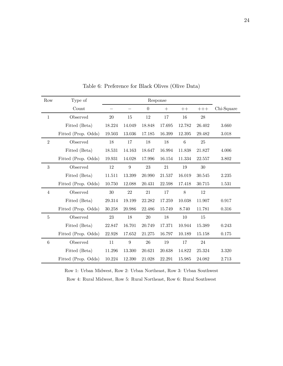| Row            | Type of             |        | Response         |                |        |                 |        |            |  |
|----------------|---------------------|--------|------------------|----------------|--------|-----------------|--------|------------|--|
|                | Count               |        |                  | $\overline{0}$ | $+$    | $++$            | $+++$  | Chi-Square |  |
| $\mathbf{1}$   | Observed            | $20\,$ | 15               | 12             | 17     | 16              | 28     |            |  |
|                | Fitted (Beta)       | 18.224 | 14.049           | 18.848         | 17.695 | 12.782          | 26.402 | 3.660      |  |
|                | Fitted (Prop. Odds) | 19.503 | 13.036           | 17.185         | 16.399 | 12.395          | 29.482 | $3.018\,$  |  |
| $\overline{2}$ | Observed            | 18     | 17               | 18             | 18     | $6\phantom{.}6$ | 25     |            |  |
|                | Fitted (Beta)       | 18.531 | 14.163           | 18.647         | 16.994 | 11.838          | 21.827 | 4.006      |  |
|                | Fitted (Prop. Odds) | 19.931 | 14.028           | 17.996         | 16.154 | 11.334          | 22.557 | 3.802      |  |
| 3              | Observed            | 12     | $\boldsymbol{9}$ | 23             | 21     | 19              | 30     |            |  |
|                | Fitted (Beta)       | 11.511 | 13.399           | 20.990         | 21.537 | 16.019          | 30.545 | 2.235      |  |
|                | Fitted (Prop. Odds) | 10.750 | 12.088           | 20.431         | 22.598 | 17.418          | 30.715 | 1.531      |  |
| $\overline{4}$ | Observed            | $30\,$ | 22               | 21             | 17     | $8\,$           | 12     |            |  |
|                | Fitted (Beta)       | 29.314 | 19.199           | 22.282         | 17.259 | 10.038          | 11.907 | 0.917      |  |
|                | Fitted (Prop. Odds) | 30.258 | 20.986           | 22.486         | 15.749 | 8.740           | 11.781 | 0.316      |  |
| 5              | Observed            | 23     | 18               | $20\,$         | 18     | 10              | 15     |            |  |
|                | Fitted (Beta)       | 22.847 | 16.701           | 20.749         | 17.371 | 10.944          | 15.389 | 0.243      |  |
|                | Fitted (Prop. Odds) | 22.928 | 17.652           | 21.275         | 16.797 | 10.189          | 15.158 | 0.175      |  |
| $\,6$          | Observed            | 11     | $\boldsymbol{9}$ | 26             | 19     | 17              | 24     |            |  |
|                | Fitted (Beta)       | 11.296 | 13.300           | 20.621         | 20.638 | 14.822          | 25.324 | 3.320      |  |
|                | Fitted (Prop. Odds) | 10.224 | 12.390           | 21.028         | 22.291 | 15.985          | 24.082 | 2.713      |  |

Table 6: Preference for Black Olives (Olive Data)

Row 1: Urban Midwest, Row 2: Urban Northeast, Row 3: Urban Southwest Row 4: Rural Midwest, Row 5: Rural Northeast, Row 6: Rural Southwest